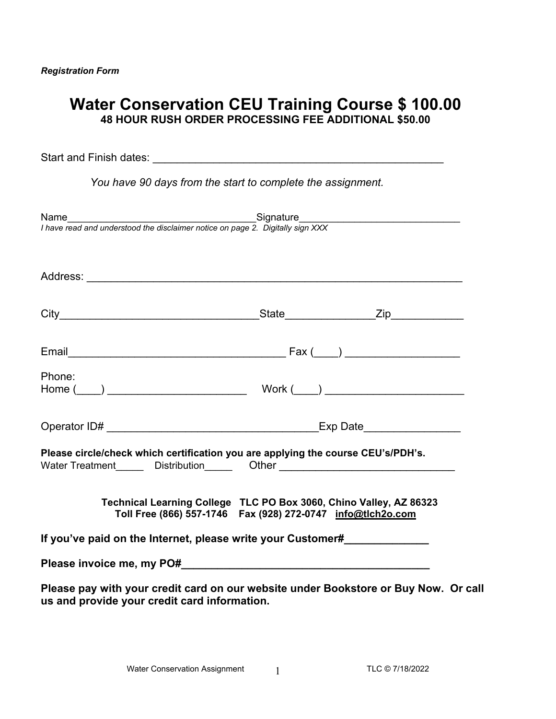|                                                                                  | 48 HOUR RUSH ORDER PROCESSING FEE ADDITIONAL \$50.00          | <b>Water Conservation CEU Training Course \$ 100.00</b>                                                        |
|----------------------------------------------------------------------------------|---------------------------------------------------------------|----------------------------------------------------------------------------------------------------------------|
|                                                                                  |                                                               |                                                                                                                |
|                                                                                  | You have 90 days from the start to complete the assignment.   |                                                                                                                |
|                                                                                  |                                                               | Name<br>I have read and understood the disclaimer notice on page 2. Digitally sign XXX                         |
|                                                                                  |                                                               |                                                                                                                |
|                                                                                  |                                                               |                                                                                                                |
|                                                                                  |                                                               |                                                                                                                |
| Phone:                                                                           |                                                               |                                                                                                                |
|                                                                                  |                                                               |                                                                                                                |
| Please circle/check which certification you are applying the course CEU's/PDH's. |                                                               | Water Treatment Distribution Cher Communication Cherater Chern Chern Chern Chern Chern Chern Chern Chern Chern |
|                                                                                  | Toll Free (866) 557-1746  Fax (928) 272-0747  info@tlch2o.com | Technical Learning College TLC PO Box 3060, Chino Valley, AZ 86323                                             |
| If you've paid on the Internet, please write your Customer#                      |                                                               |                                                                                                                |
|                                                                                  |                                                               |                                                                                                                |
|                                                                                  |                                                               | Please pay with your credit card on our website under Bookstore or Buy Now. Or call                            |

**us and provide your credit card information.**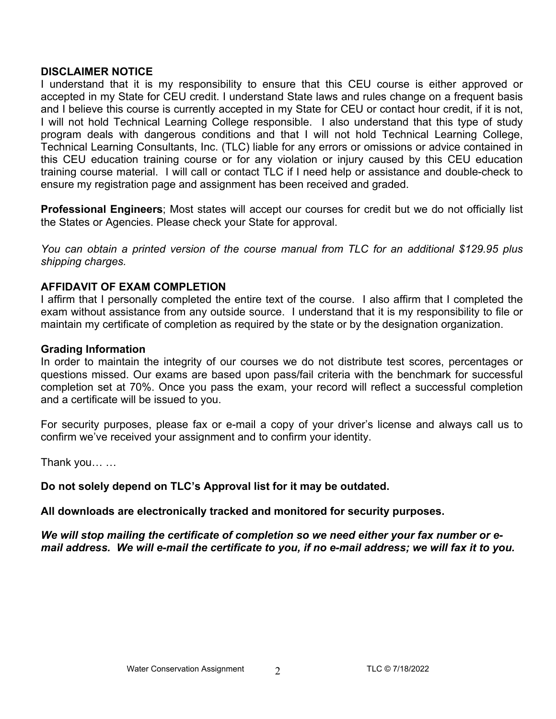#### **DISCLAIMER NOTICE**

I understand that it is my responsibility to ensure that this CEU course is either approved or accepted in my State for CEU credit. I understand State laws and rules change on a frequent basis and I believe this course is currently accepted in my State for CEU or contact hour credit, if it is not, I will not hold Technical Learning College responsible. I also understand that this type of study program deals with dangerous conditions and that I will not hold Technical Learning College, Technical Learning Consultants, Inc. (TLC) liable for any errors or omissions or advice contained in this CEU education training course or for any violation or injury caused by this CEU education training course material. I will call or contact TLC if I need help or assistance and double-check to ensure my registration page and assignment has been received and graded.

**Professional Engineers**; Most states will accept our courses for credit but we do not officially list the States or Agencies. Please check your State for approval.

*You can obtain a printed version of the course manual from TLC for an additional \$129.95 plus shipping charges.* 

#### **AFFIDAVIT OF EXAM COMPLETION**

I affirm that I personally completed the entire text of the course. I also affirm that I completed the exam without assistance from any outside source. I understand that it is my responsibility to file or maintain my certificate of completion as required by the state or by the designation organization.

#### **Grading Information**

In order to maintain the integrity of our courses we do not distribute test scores, percentages or questions missed. Our exams are based upon pass/fail criteria with the benchmark for successful completion set at 70%. Once you pass the exam, your record will reflect a successful completion and a certificate will be issued to you.

For security purposes, please fax or e-mail a copy of your driver's license and always call us to confirm we've received your assignment and to confirm your identity.

Thank you… …

#### **Do not solely depend on TLC's Approval list for it may be outdated.**

**All downloads are electronically tracked and monitored for security purposes.** 

*We will stop mailing the certificate of completion so we need either your fax number or email address. We will e-mail the certificate to you, if no e-mail address; we will fax it to you.*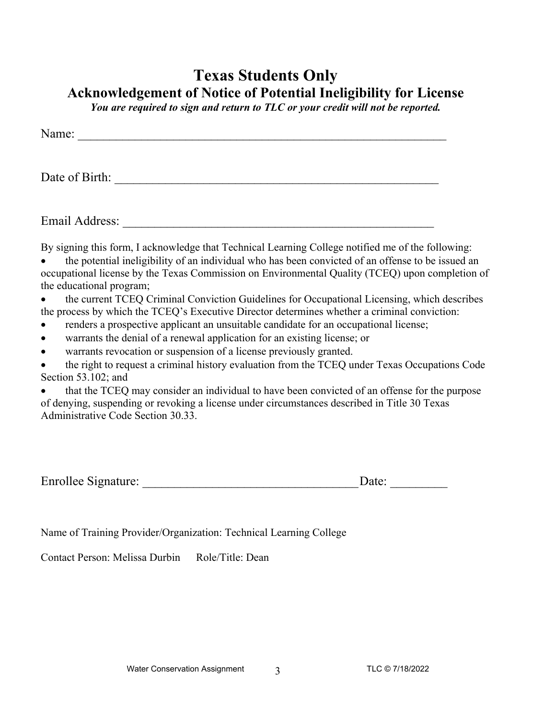## **Texas Students Only Acknowledgement of Notice of Potential Ineligibility for License**

*You are required to sign and return to TLC or your credit will not be reported.* 

| Name:                                                                                                                                                                                                                                                                                                                                 |
|---------------------------------------------------------------------------------------------------------------------------------------------------------------------------------------------------------------------------------------------------------------------------------------------------------------------------------------|
| Date of Birth:                                                                                                                                                                                                                                                                                                                        |
| Email Address:                                                                                                                                                                                                                                                                                                                        |
| By signing this form, I acknowledge that Technical Learning College notified me of the following:<br>the potential ineligibility of an individual who has been convicted of an offense to be issued an<br>occupational license by the Texas Commission on Environmental Quality (TCEQ) upon completion of<br>the educational program; |
| the current TCEQ Criminal Conviction Guidelines for Occupational Licensing, which describes<br>the process by which the TCEQ's Executive Director determines whether a criminal conviction:                                                                                                                                           |
| renders a prospective applicant an unsuitable candidate for an occupational license;<br>warrants the denial of a renewal application for an existing license; or<br>$\bullet$<br>warrants revocation or suspension of a license previously granted.                                                                                   |

 the right to request a criminal history evaluation from the TCEQ under Texas Occupations Code Section 53.102; and

• that the TCEQ may consider an individual to have been convicted of an offense for the purpose of denying, suspending or revoking a license under circumstances described in Title 30 Texas Administrative Code Section 30.33.

| Enrollee Signature: | )ate: |
|---------------------|-------|
|                     |       |

Name of Training Provider/Organization: Technical Learning College

Contact Person: Melissa Durbin Role/Title: Dean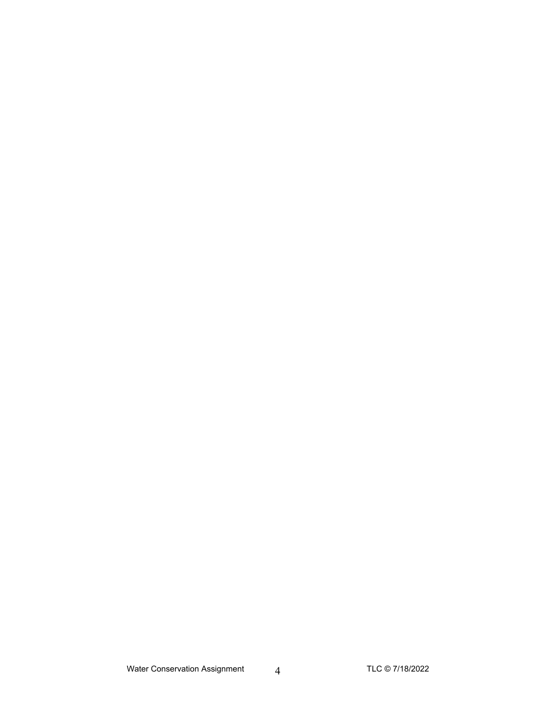Water Conservation Assignment TLC © 7/18/2022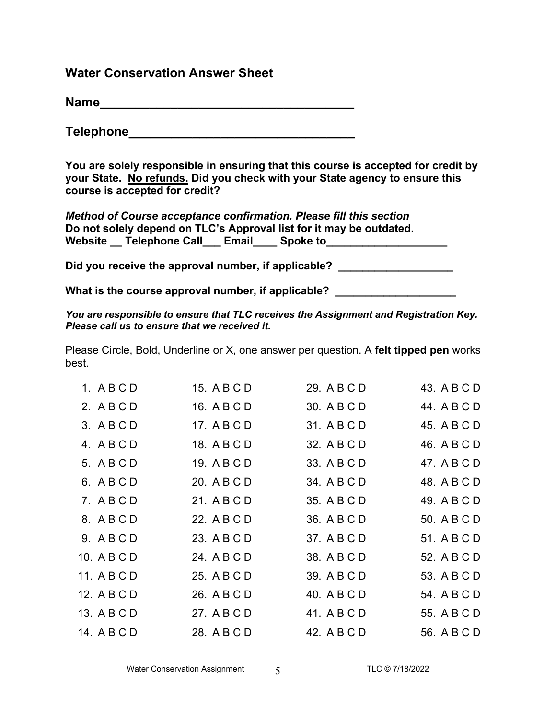### **Water Conservation Answer Sheet**

| <b>Name</b> |  |  |  |  |  |  |
|-------------|--|--|--|--|--|--|
|             |  |  |  |  |  |  |

**Telephone** 

**You are solely responsible in ensuring that this course is accepted for credit by your State. No refunds. Did you check with your State agency to ensure this course is accepted for credit?** 

*Method of Course acceptance confirmation. Please fill this section*  **Do not solely depend on TLC's Approval list for it may be outdated.** Website **Telephone Call** Email Spoke to

Did you receive the approval number, if applicable? \_\_\_\_\_\_\_\_\_\_\_\_\_\_\_\_\_\_\_\_\_\_\_\_\_\_\_\_

What is the course approval number, if applicable?

*You are responsible to ensure that TLC receives the Assignment and Registration Key. Please call us to ensure that we received it.* 

Please Circle, Bold, Underline or X, one answer per question. A **felt tipped pen** works best.

| 1. $A B C D$ | 15. A B C D | 29. A B C D | 43. A B C D |
|--------------|-------------|-------------|-------------|
| 2. ABCD      | 16. A B C D | 30. A B C D | 44. A B C D |
| 3. ABCD      | 17. A B C D | 31. A B C D | 45. A B C D |
| 4. ABCD      | 18. A B C D | 32. A B C D | 46. A B C D |
| 5. A B C D   | 19. A B C D | 33. A B C D | 47. A B C D |
| 6. ABCD      | 20. A B C D | 34. A B C D | 48. A B C D |
| 7. ABCD      | 21. A B C D | 35. A B C D | 49. A B C D |
| 8. ABCD      | 22. A B C D | 36. A B C D | 50. A B C D |
| 9. A B C D   | 23. A B C D | 37. A B C D | 51. A B C D |
| 10. A B C D  | 24. A B C D | 38. A B C D | 52. A B C D |
| 11. A B C D  | 25. A B C D | 39. A B C D | 53. A B C D |
| 12. A B C D  | 26. A B C D | 40. A B C D | 54. A B C D |
| 13. A B C D  | 27. A B C D | 41. A B C D | 55. A B C D |
| 14. A B C D  | 28. A B C D | 42. A B C D | 56. A B C D |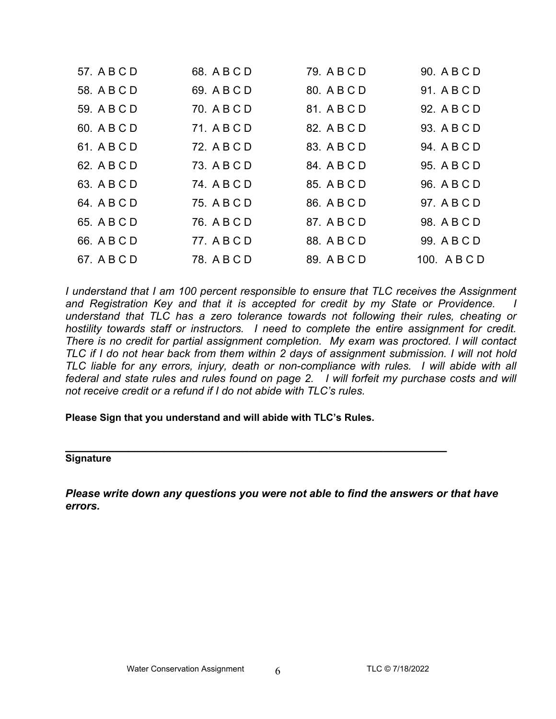| 57. A B C D | 68. A B C D | 79. A B C D | 90. A B C D  |
|-------------|-------------|-------------|--------------|
| 58. A B C D | 69. A B C D | 80. A B C D | 91. A B C D  |
| 59. A B C D | 70. A B C D | 81. A B C D | 92. A B C D  |
| 60. A B C D | 71. A B C D | 82. A B C D | 93. A B C D  |
| 61. A B C D | 72. A B C D | 83. A B C D | 94. A B C D  |
| 62. A B C D | 73. A B C D | 84. A B C D | 95. A B C D  |
| 63. A B C D | 74. A B C D | 85. A B C D | 96. A B C D  |
| 64. A B C D | 75. A B C D | 86. A B C D | 97. A B C D  |
| 65. A B C D | 76. A B C D | 87. A B C D | 98. A B C D  |
| 66. A B C D | 77. A B C D | 88. A B C D | 99. A B C D  |
| 67. A B C D | 78. A B C D | 89. A B C D | 100. A B C D |

*I understand that I am 100 percent responsible to ensure that TLC receives the Assignment and Registration Key and that it is accepted for credit by my State or Providence. I understand that TLC has a zero tolerance towards not following their rules, cheating or hostility towards staff or instructors. I need to complete the entire assignment for credit. There is no credit for partial assignment completion. My exam was proctored. I will contact TLC if I do not hear back from them within 2 days of assignment submission. I will not hold TLC liable for any errors, injury, death or non-compliance with rules. I will abide with all federal and state rules and rules found on page 2. I will forfeit my purchase costs and will not receive credit or a refund if I do not abide with TLC's rules.* 

**Please Sign that you understand and will abide with TLC's Rules.** 

# **\_\_\_\_\_\_\_\_\_\_\_\_\_\_\_\_\_\_\_\_\_\_\_\_\_\_\_\_\_\_\_\_\_\_\_\_\_\_\_\_\_\_\_\_\_\_\_\_\_\_\_\_\_\_ Signature**

*Please write down any questions you were not able to find the answers or that have errors.*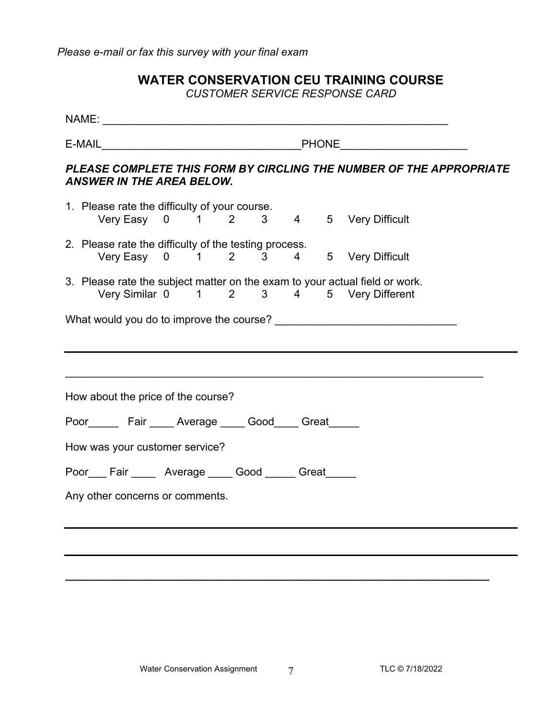*Please e-mail or fax this survey with your final exam* 

| <b>WATER CONSERVATION CEU TRAINING COURSE</b> |
|-----------------------------------------------|
|-----------------------------------------------|

*CUSTOMER SERVICE RESPONSE CARD* 

| PLEASE COMPLETE THIS FORM BY CIRCLING THE NUMBER OF THE APPROPRIATE<br><b>ANSWER IN THE AREA BELOW.</b>                |  |  |  |  |  |  |
|------------------------------------------------------------------------------------------------------------------------|--|--|--|--|--|--|
| 1. Please rate the difficulty of your course.<br>Very Easy 0 1 2 3 4 5 Very Difficult                                  |  |  |  |  |  |  |
| 2. Please rate the difficulty of the testing process.<br>Very Easy 0 1 2 3 4 5 Very Difficult                          |  |  |  |  |  |  |
| 3. Please rate the subject matter on the exam to your actual field or work.<br>Very Similar 0 1 2 3 4 5 Very Different |  |  |  |  |  |  |
|                                                                                                                        |  |  |  |  |  |  |
|                                                                                                                        |  |  |  |  |  |  |
| How about the price of the course?                                                                                     |  |  |  |  |  |  |
| Poor________ Fair _____ Average _____ Good_____ Great______                                                            |  |  |  |  |  |  |
| How was your customer service?                                                                                         |  |  |  |  |  |  |
| Poor___Fair _____ Average ____ Good _____ Great _____                                                                  |  |  |  |  |  |  |
| Any other concerns or comments.                                                                                        |  |  |  |  |  |  |

**\_\_\_\_\_\_\_\_\_\_\_\_\_\_\_\_\_\_\_\_\_\_\_\_\_\_\_\_\_\_\_\_\_\_\_\_\_\_\_\_\_\_\_\_\_\_\_\_\_\_\_\_\_\_\_\_\_\_\_\_\_\_\_\_\_\_\_\_\_\_**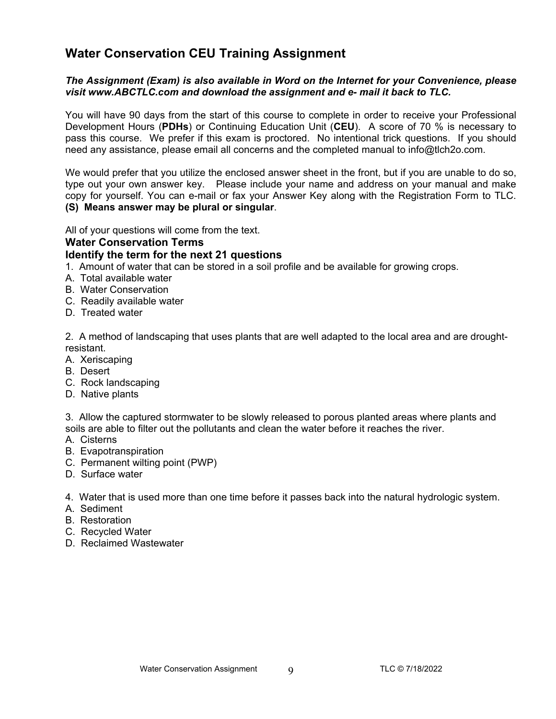## **Water Conservation CEU Training Assignment**

#### *The Assignment (Exam) is also available in Word on the Internet for your Convenience, please visit [www.ABCTLC.com an](http://www.ABCTLC.com)d download the assignment and e- mail it back to TLC.*

You will have 90 days from the start of this course to complete in order to receive your Professional Development Hours (**PDHs**) or Continuing Education Unit (**CEU**). A score of 70 % is necessary to pass this course. We prefer if this exam is proctored. No intentional trick questions. If you should need any assistance, please email all concerns and the completed manual to [info@tlch2o.com.](mailto:info@tlch2o.com) 

We would prefer that you utilize the enclosed answer sheet in the front, but if you are unable to do so, type out your own answer key. Please include your name and address on your manual and make copy for yourself. You can e-mail or fax your Answer Key along with the Registration Form to TLC. **(S) Means answer may be plural or singular**.

All of your questions will come from the text.

#### **Water Conservation Terms**

#### **Identify the term for the next 21 questions**

1. Amount of water that can be stored in a soil profile and be available for growing crops.

- A. Total available water
- B. Water Conservation
- C. Readily available water
- D. Treated water

2. A method of landscaping that uses plants that are well adapted to the local area and are droughtresistant.

- A. Xeriscaping
- B. Desert
- C. Rock landscaping
- D. Native plants

3. Allow the captured stormwater to be slowly released to porous planted areas where plants and soils are able to filter out the pollutants and clean the water before it reaches the river.

- A. Cisterns
- B. Evapotranspiration
- C. Permanent wilting point (PWP)
- D. Surface water

4. Water that is used more than one time before it passes back into the natural hydrologic system.

- A. Sediment
- B. Restoration
- C. Recycled Water
- D. Reclaimed Wastewater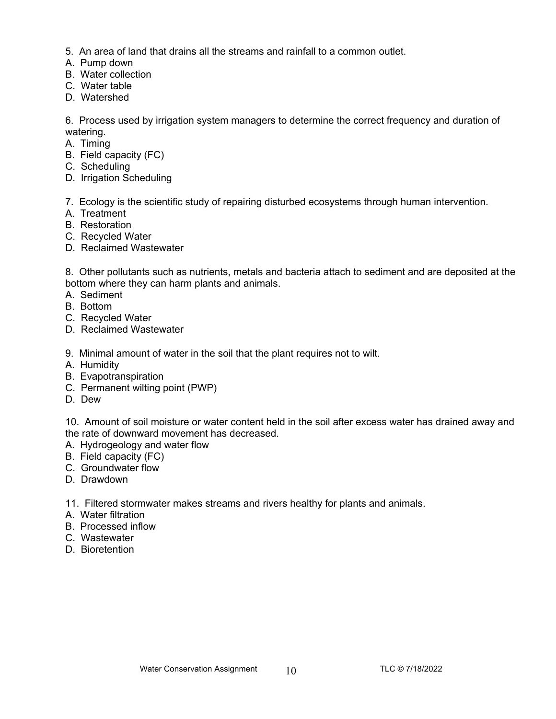- 5. An area of land that drains all the streams and rainfall to a common outlet.
- A. Pump down
- B. Water collection
- C. Water table
- D. Watershed

6. Process used by irrigation system managers to determine the correct frequency and duration of watering.

- A. Timing
- B. Field capacity (FC)
- C. Scheduling
- D. Irrigation Scheduling

7. Ecology is the scientific study of repairing disturbed ecosystems through human intervention.

- A. Treatment
- B. Restoration
- C. Recycled Water
- D. Reclaimed Wastewater

8. Other pollutants such as nutrients, metals and bacteria attach to sediment and are deposited at the bottom where they can harm plants and animals.

- A. Sediment
- B. Bottom
- C. Recycled Water
- D. Reclaimed Wastewater
- 9. Minimal amount of water in the soil that the plant requires not to wilt.
- A. Humidity
- B. Evapotranspiration
- C. Permanent wilting point (PWP)
- D. Dew

10. Amount of soil moisture or water content held in the soil after excess water has drained away and the rate of downward movement has decreased.

- A. Hydrogeology and water flow
- B. Field capacity (FC)
- C. Groundwater flow
- D. Drawdown
- 11. Filtered stormwater makes streams and rivers healthy for plants and animals.
- A. Water filtration
- B. Processed inflow
- C. Wastewater
- D. Bioretention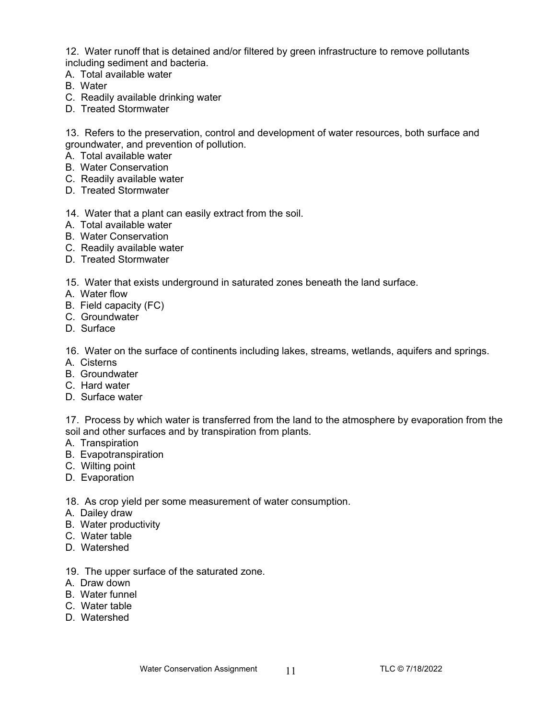12. Water runoff that is detained and/or filtered by green infrastructure to remove pollutants including sediment and bacteria.

- A. Total available water
- B. Water
- C. Readily available drinking water
- D. Treated Stormwater

13. Refers to the preservation, control and development of water resources, both surface and groundwater, and prevention of pollution.

- A. Total available water
- B. Water Conservation
- C. Readily available water
- D. Treated Stormwater

14. Water that a plant can easily extract from the soil.

- A. Total available water
- B. Water Conservation
- C. Readily available water
- D. Treated Stormwater

15. Water that exists underground in saturated zones beneath the land surface.

- A. Water flow
- B. Field capacity (FC)
- C. Groundwater
- D. Surface

16. Water on the surface of continents including lakes, streams, wetlands, aquifers and springs.

- A. Cisterns
- B. Groundwater
- C. Hard water
- D. Surface water

17. Process by which water is transferred from the land to the atmosphere by evaporation from the soil and other surfaces and by transpiration from plants.

- A. Transpiration
- B. Evapotranspiration
- C. Wilting point
- D. Evaporation

18. As crop yield per some measurement of water consumption.

- A. Dailey draw
- B. Water productivity
- C. Water table
- D. Watershed
- 19. The upper surface of the saturated zone.
- A. Draw down
- B. Water funnel
- C. Water table
- D. Watershed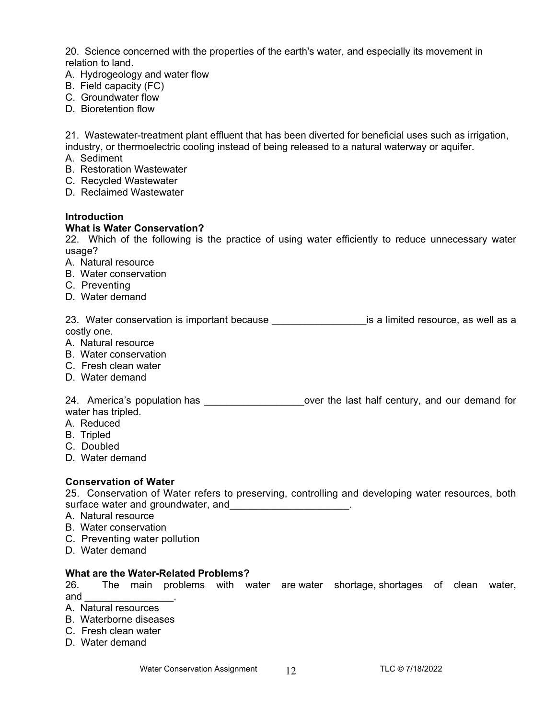20. Science concerned with the properties of the earth's water, and especially its movement in relation to land.

- A. Hydrogeology and water flow
- B. Field capacity (FC)
- C. Groundwater flow
- D. Bioretention flow

21. Wastewater-treatment plant effluent that has been diverted for beneficial uses such as irrigation, industry, or thermoelectric cooling instead of being released to a natural waterway or aquifer.

- A. Sediment
- B. Restoration Wastewater
- C. Recycled Wastewater
- D. Reclaimed Wastewater

#### **Introduction**

#### **What is Water Conservation?**

22. Which of the following is the practice of using water efficiently to reduce unnecessary water usage?

- A. Natural resource
- B. Water conservation
- C. Preventing
- D. Water demand

23. Water conservation is important because example and is a limited resource, as well as a costly one.

- A. Natural resource
- B. Water conservation
- C. Fresh clean water
- D. Water demand

24. America's population has **Exercise 24.** Over the last half century, and our demand for water has tripled.

- A. Reduced
- B. Tripled
- C. Doubled
- D. Water demand

#### **Conservation of Water**

25. Conservation of Water refers to preserving, controlling and developing water resources, both surface water and groundwater, and

- A. Natural resource
- B. Water conservation
- C. Preventing water pollution
- D. Water demand

#### **What are the Water-Related Problems?**

26. The main problems with water are water shortage, shortages of clean water,  $and$   $\qquad \qquad \qquad \qquad$ 

- A. Natural resources
- B. Waterborne diseases
- C. Fresh clean water
- D. Water demand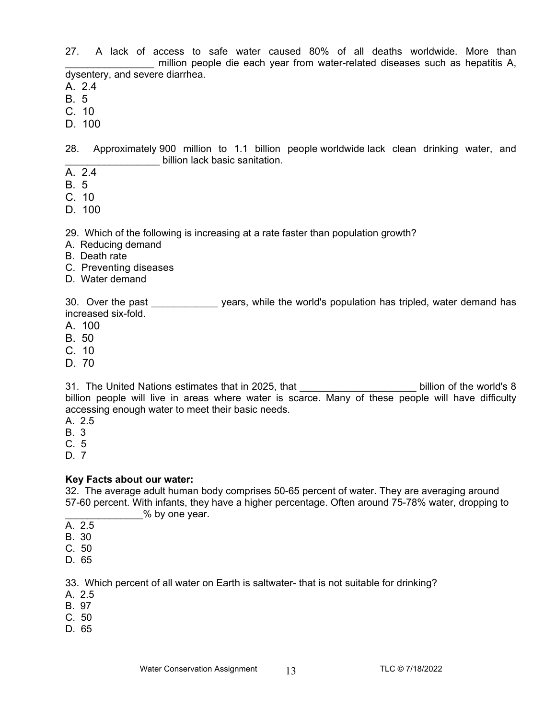27. A lack of access to safe water caused 80% of all deaths worldwide. More than million people die each year from water-related diseases such as hepatitis A, dysentery, and severe diarrhea.

A. 2.4

- B. 5
- C. 10
- D. 100

28. Approximately 900 million to 1.1 billion people worldwide lack clean drinking water, and \_\_\_\_\_\_\_\_\_\_\_\_\_\_\_\_\_ billion lack basic sanitation.

- $\overline{A}$  24
- B. 5

C. 10

D. 100

29. Which of the following is increasing at a rate faster than population growth?

- A. Reducing demand
- B. Death rate
- C. Preventing diseases
- D. Water demand

30. Over the past \_\_\_\_\_\_\_\_\_\_\_\_ years, while the world's population has tripled, water demand has increased six-fold.

- A. 100
- B. 50
- C. 10
- D. 70

31. The United Nations estimates that in 2025, that \_\_\_\_\_\_\_\_\_\_\_\_\_\_\_\_\_\_\_\_\_ billion of the world's 8 billion people will live in areas where water is scarce. Many of these people will have difficulty accessing enough water to meet their basic needs.

- A. 2.5
- B. 3
- C. 5
- D. 7

#### **Key Facts about our water:**

32. The average adult human body comprises 50-65 percent of water. They are averaging around 57-60 percent. With infants, they have a higher percentage. Often around 75-78% water, dropping to % by one year.

- A. 2.5
- B. 30
- C. 50
- D. 65

33. Which percent of all water on Earth is saltwater- that is not suitable for drinking?

- A. 2.5
- B. 97
- C. 50
- D. 65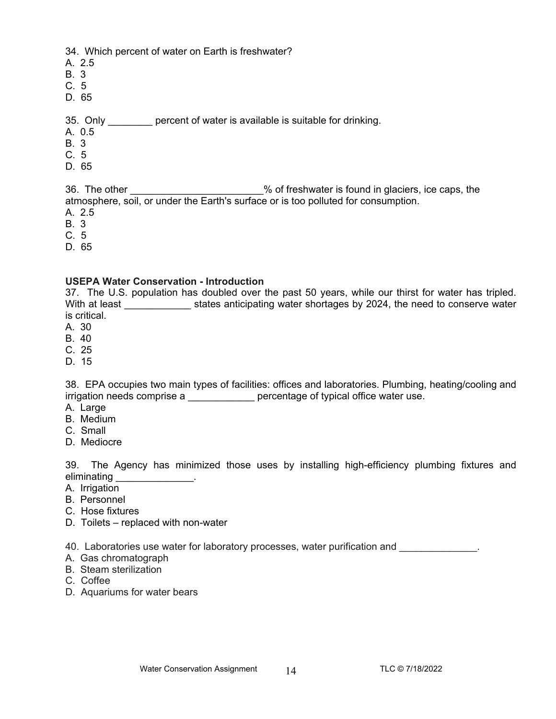34. Which percent of water on Earth is freshwater?

- A. 2.5
- B. 3
- C. 5
- D. 65

35. Only **percent of water is available is suitable for drinking.** 

- A. 0.5
- B. 3
- C. 5
- D. 65

36. The other **the contract and the set of the state of freshwater is found in glaciers, ice caps, the** atmosphere, soil, or under the Earth's surface or is too polluted for consumption. A. 2.5

- B. 3
- C. 5
- D. 65
- 

#### **USEPA Water Conservation - Introduction**

37. The U.S. population has doubled over the past 50 years, while our thirst for water has tripled. With at least states anticipating water shortages by 2024, the need to conserve water is critical.

- A. 30
- B. 40
- C. 25
- D. 15

38. EPA occupies two main types of facilities: offices and laboratories. Plumbing, heating/cooling and irrigation needs comprise a \_\_\_\_\_\_\_\_\_\_\_\_\_ percentage of typical office water use.

- A. Large
- B. Medium
- C. Small
- D. Mediocre

39. The Agency has minimized those uses by installing high-efficiency plumbing fixtures and eliminating \_\_\_\_\_\_\_\_\_\_\_\_\_\_\_\_.

- A. Irrigation
- B. Personnel
- C. Hose fixtures
- D. Toilets replaced with non-water

40. Laboratories use water for laboratory processes, water purification and **with the set of the set of the set o** 

- A. Gas chromatograph
- B. Steam sterilization
- C. Coffee
- D. Aquariums for water bears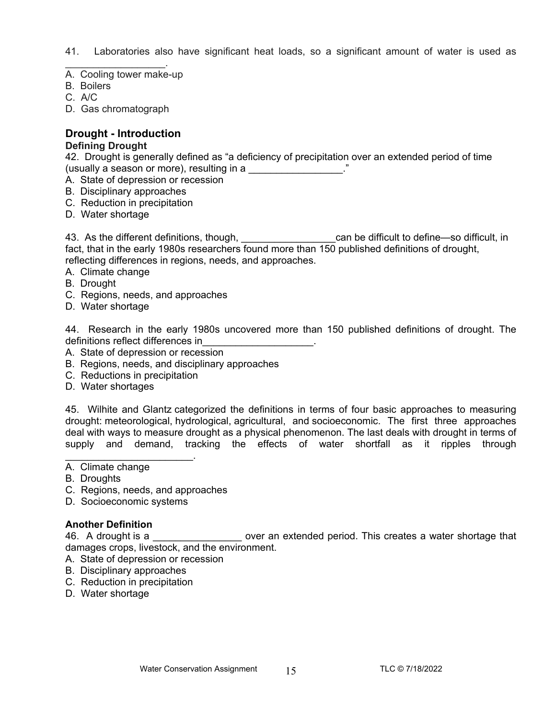41. Laboratories also have significant heat loads, so a significant amount of water is used as

- A. Cooling tower make-up
- B. Boilers

C. A/C

D. Gas chromatograph

 $\mathcal{L}_\text{max}$  and  $\mathcal{L}_\text{max}$  and  $\mathcal{L}_\text{max}$ 

#### **Drought - Introduction**

#### **Defining Drought**

42. Drought is generally defined as "a deficiency of precipitation over an extended period of time (usually a season or more), resulting in a \_\_\_\_\_\_\_\_\_\_\_\_\_\_\_\_\_\_\_."

- A. State of depression or recession
- B. Disciplinary approaches
- C. Reduction in precipitation
- D. Water shortage

43. As the different definitions, though, \_\_\_\_\_\_\_\_\_\_\_\_\_\_\_\_\_\_\_\_\_\_can be difficult to define—so difficult. in fact, that in the early 1980s researchers found more than 150 published definitions of drought, reflecting differences in regions, needs, and approaches.

- A. Climate change
- B. Drought
- C. Regions, needs, and approaches
- D. Water shortage

44. Research in the early 1980s uncovered more than 150 published definitions of drought. The definitions reflect differences in \_\_\_\_\_\_\_\_\_\_\_\_\_\_\_\_\_\_.

- A. State of depression or recession
- B. Regions, needs, and disciplinary approaches
- C. Reductions in precipitation
- D. Water shortages

45. Wilhite and Glantz categorized the definitions in terms of four basic approaches to measuring drought: meteorological, hydrological, agricultural, and socioeconomic. The first three approaches deal with ways to measure drought as a physical phenomenon. The last deals with drought in terms of supply and demand, tracking the effects of water shortfall as it ripples through

- A. Climate change
- B. Droughts
- C. Regions, needs, and approaches
- D. Socioeconomic systems

 $\mathcal{L}_\text{max}$  , where  $\mathcal{L}_\text{max}$  and  $\mathcal{L}_\text{max}$ 

#### **Another Definition**

46. A drought is a \_\_\_\_\_\_\_\_\_\_\_\_\_\_\_\_\_\_\_ over an extended period. This creates a water shortage that damages crops, livestock, and the environment.

- A. State of depression or recession
- B. Disciplinary approaches
- C. Reduction in precipitation
- D. Water shortage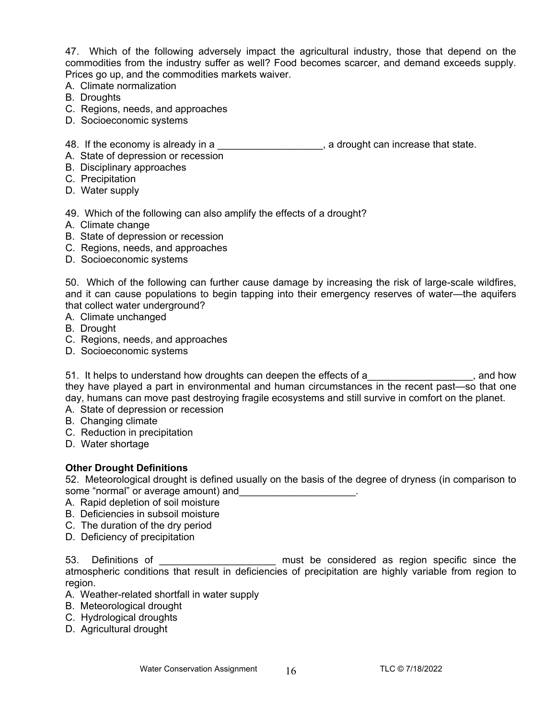47. Which of the following adversely impact the agricultural industry, those that depend on the commodities from the industry suffer as well? Food becomes scarcer, and demand exceeds supply. Prices go up, and the commodities markets waiver.

A. Climate normalization

- B. Droughts
- C. Regions, needs, and approaches
- D. Socioeconomic systems
- 48. If the economy is already in a \_\_\_\_\_\_\_\_\_\_\_\_\_\_\_\_\_\_\_\_, a drought can increase that state.
- A. State of depression or recession
- B. Disciplinary approaches
- C. Precipitation
- D. Water supply

49. Which of the following can also amplify the effects of a drought?

- A. Climate change
- B. State of depression or recession
- C. Regions, needs, and approaches
- D. Socioeconomic systems

50. Which of the following can further cause damage by increasing the risk of large-scale wildfires, and it can cause populations to begin tapping into their emergency reserves of water—the aquifers that collect water underground?

- A. Climate unchanged
- B. Drought
- C. Regions, needs, and approaches
- D. Socioeconomic systems

51. It helps to understand how droughts can deepen the effects of a same sum and how they have played a part in environmental and human circumstances in the recent past—so that one day, humans can move past destroying fragile ecosystems and still survive in comfort on the planet.

- A. State of depression or recession
- B. Changing climate
- C. Reduction in precipitation
- D. Water shortage

#### **Other Drought Definitions**

52. Meteorological drought is defined usually on the basis of the degree of dryness (in comparison to some "normal" or average amount) and

- A. Rapid depletion of soil moisture
- B. Deficiencies in subsoil moisture
- C. The duration of the dry period
- D. Deficiency of precipitation

53. Definitions of **Exercise 20** must be considered as region specific since the atmospheric conditions that result in deficiencies of precipitation are highly variable from region to region.

- A. Weather-related shortfall in water supply
- B. Meteorological drought
- C. Hydrological droughts
- D. Agricultural drought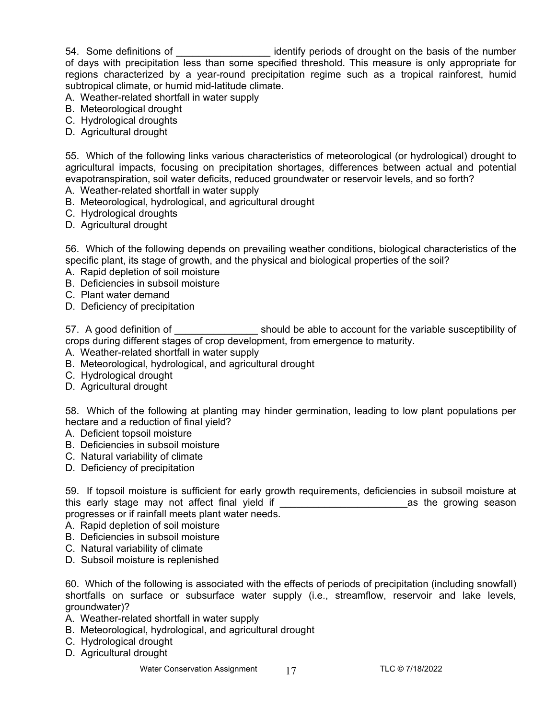54. Some definitions of \_\_\_\_\_\_\_\_\_\_\_\_\_\_\_\_\_\_\_\_ identify periods of drought on the basis of the number of days with precipitation less than some specified threshold. This measure is only appropriate for regions characterized by a year-round precipitation regime such as a tropical rainforest, humid subtropical climate, or humid mid-latitude climate.

- A. Weather-related shortfall in water supply
- B. Meteorological drought
- C. Hydrological droughts
- D. Agricultural drought

55. Which of the following links various characteristics of meteorological (or hydrological) drought to agricultural impacts, focusing on precipitation shortages, differences between actual and potential evapotranspiration, soil water deficits, reduced groundwater or reservoir levels, and so forth?

- A. Weather-related shortfall in water supply
- B. Meteorological, hydrological, and agricultural drought
- C. Hydrological droughts
- D. Agricultural drought

56. Which of the following depends on prevailing weather conditions, biological characteristics of the specific plant, its stage of growth, and the physical and biological properties of the soil?

- A. Rapid depletion of soil moisture
- B. Deficiencies in subsoil moisture
- C. Plant water demand
- D. Deficiency of precipitation

57. A good definition of \_\_\_\_\_\_\_\_\_\_\_\_\_\_\_\_\_\_\_\_ should be able to account for the variable susceptibility of crops during different stages of crop development, from emergence to maturity.

- A. Weather-related shortfall in water supply
- B. Meteorological, hydrological, and agricultural drought
- C. Hydrological drought
- D. Agricultural drought

58. Which of the following at planting may hinder germination, leading to low plant populations per hectare and a reduction of final yield?

- A. Deficient topsoil moisture
- B. Deficiencies in subsoil moisture
- C. Natural variability of climate
- D. Deficiency of precipitation

59. If topsoil moisture is sufficient for early growth requirements, deficiencies in subsoil moisture at this early stage may not affect final yield if **the contact of the growing season** progresses or if rainfall meets plant water needs.

- A. Rapid depletion of soil moisture
- B. Deficiencies in subsoil moisture
- C. Natural variability of climate
- D. Subsoil moisture is replenished

60. Which of the following is associated with the effects of periods of precipitation (including snowfall) shortfalls on surface or subsurface water supply (i.e., streamflow, reservoir and lake levels, groundwater)?

- A. Weather-related shortfall in water supply
- B. Meteorological, hydrological, and agricultural drought
- C. Hydrological drought
- D. Agricultural drought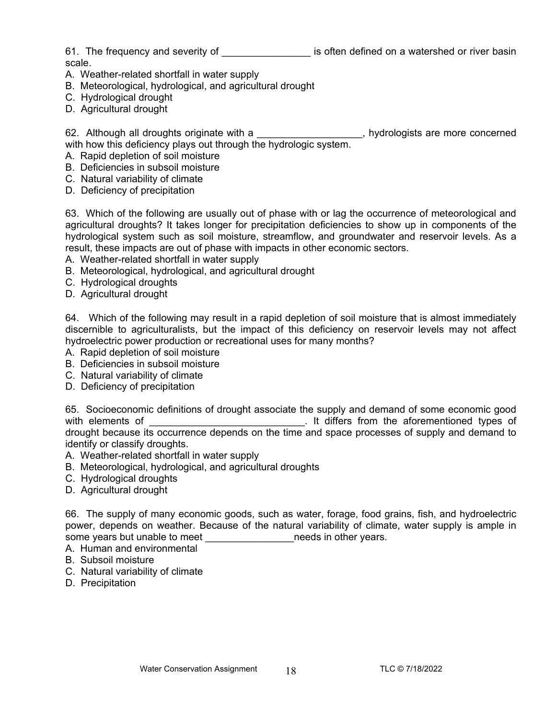61. The frequency and severity of **Example 20** is often defined on a watershed or river basin scale.

- A. Weather-related shortfall in water supply
- B. Meteorological, hydrological, and agricultural drought
- C. Hydrological drought
- D. Agricultural drought

62. Although all droughts originate with a \_\_\_\_\_\_\_\_\_\_\_\_\_\_\_\_\_\_\_, hydrologists are more concerned with how this deficiency plays out through the hydrologic system.

- A. Rapid depletion of soil moisture
- B. Deficiencies in subsoil moisture
- C. Natural variability of climate
- D. Deficiency of precipitation

63. Which of the following are usually out of phase with or lag the occurrence of meteorological and agricultural droughts? It takes longer for precipitation deficiencies to show up in components of the hydrological system such as soil moisture, streamflow, and groundwater and reservoir levels. As a result, these impacts are out of phase with impacts in other economic sectors.

- A. Weather-related shortfall in water supply
- B. Meteorological, hydrological, and agricultural drought
- C. Hydrological droughts
- D. Agricultural drought

64. Which of the following may result in a rapid depletion of soil moisture that is almost immediately discernible to agriculturalists, but the impact of this deficiency on reservoir levels may not affect hydroelectric power production or recreational uses for many months?

- A. Rapid depletion of soil moisture
- B. Deficiencies in subsoil moisture
- C. Natural variability of climate
- D. Deficiency of precipitation

65. Socioeconomic definitions of drought associate the supply and demand of some economic good with elements of \_\_\_\_\_\_\_\_\_\_\_\_\_\_\_\_\_\_\_\_\_\_\_\_\_\_\_\_\_\_\_\_\_. It differs from the aforementioned types of drought because its occurrence depends on the time and space processes of supply and demand to identify or classify droughts.

- A. Weather-related shortfall in water supply
- B. Meteorological, hydrological, and agricultural droughts
- C. Hydrological droughts
- D. Agricultural drought

66. The supply of many economic goods, such as water, forage, food grains, fish, and hydroelectric power, depends on weather. Because of the natural variability of climate, water supply is ample in some years but unable to meet **the end-on-meet** and meeds in other years.

- A. Human and environmental
- B. Subsoil moisture
- C. Natural variability of climate
- D. Precipitation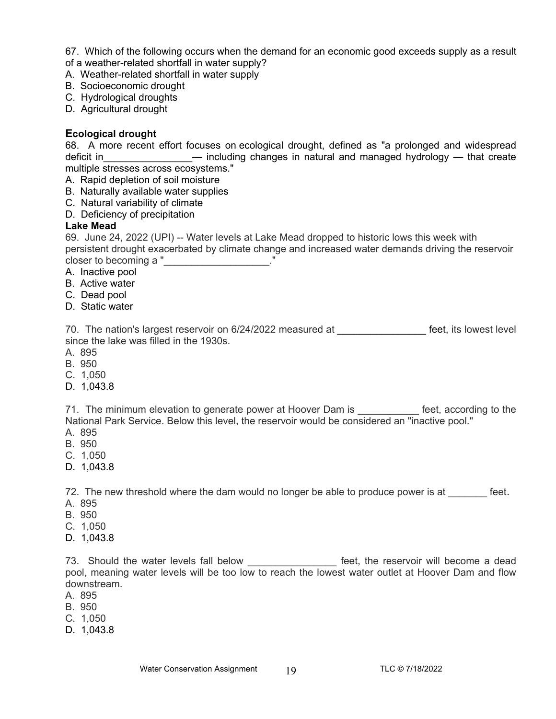67. Which of the following occurs when the demand for an economic good exceeds supply as a result of a weather-related shortfall in water supply?

- A. Weather-related shortfall in water supply
- B. Socioeconomic drought
- C. Hydrological droughts
- D. Agricultural drought

#### **Ecological drought**

68. A more recent effort focuses on ecological drought, defined as "a prolonged and widespread deficit in\_\_\_\_\_\_\_\_\_\_\_\_\_\_\_\_— including changes in natural and managed hydrology — that create multiple stresses across ecosystems."

- A. Rapid depletion of soil moisture
- B. Naturally available water supplies
- C. Natural variability of climate
- D. Deficiency of precipitation

#### **Lake Mead**

69. June 24, 2022 (UPI) -- Water levels at Lake Mead dropped to historic lows this week with persistent drought exacerbated by climate change and increased water demands driving the reservoir closer to becoming a "\_\_\_\_\_\_\_\_\_\_\_\_\_\_\_\_\_\_\_\_."

- A. Inactive pool
- B. Active water
- C. Dead pool
- D. Static water

70. The nation's largest reservoir on 6/24/2022 measured at \_\_\_\_\_\_\_\_\_\_\_\_\_\_\_\_\_ feet, its lowest level since the lake was filled in the 1930s.

- A. 895
- B. 950
- C. 1,050
- D. 1,043.8

71. The minimum elevation to generate power at Hoover Dam is **Feet**, according to the National Park Service. Below this level, the reservoir would be considered an "inactive pool."

- A. 895
- B. 950 C. 1,050
- D. 1,043.8

72. The new threshold where the dam would no longer be able to produce power is at feet.

- A. 895
- B. 950
- C. 1,050
- D. 1,043.8

73. Should the water levels fall below \_\_\_\_\_\_\_\_\_\_\_\_\_\_\_\_\_ feet, the reservoir will become a dead pool, meaning water levels will be too low to reach the lowest water outlet at Hoover Dam and flow downstream.

- A. 895
- B. 950
- C. 1,050
- D. 1,043.8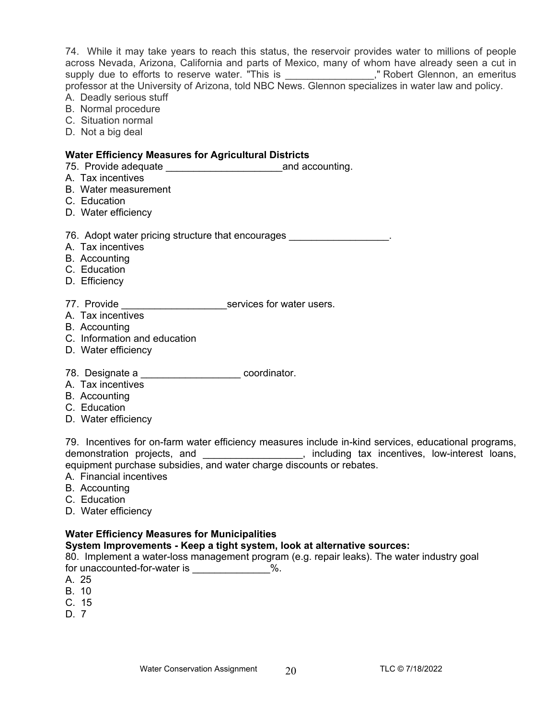74. While it may take years to reach this status, the reservoir provides water to millions of people across Nevada, Arizona, California and parts of Mexico, many of whom have already seen a cut in supply due to efforts to reserve water. "This is The Supply due to efforts to reserve water. "This is The Supply due to efforts to reserve water. "This is professor at the University of Arizona, told NBC News. Glennon specializes in water law and policy.

- A. Deadly serious stuff
- B. Normal procedure
- C. Situation normal
- D. Not a big deal

#### **Water Efficiency Measures for Agricultural Districts**

- 75. Provide adequate \_\_\_\_\_\_\_\_\_\_\_\_\_\_\_\_\_\_\_\_\_and accounting.
- A. Tax incentives
- B. Water measurement
- C. Education
- D. Water efficiency

76. Adopt water pricing structure that encourages **with all entities and the entity** 

- A. Tax incentives
- B. Accounting
- C. Education
- D. Efficiency

77. Provide **The Contract Services for water users.** 

- A. Tax incentives
- B. Accounting
- C. Information and education
- D. Water efficiency
- 78. Designate a \_\_\_\_\_\_\_\_\_\_\_\_\_\_\_\_\_\_\_\_\_ coordinator.
- A. Tax incentives
- B. Accounting
- C. Education
- D. Water efficiency

79. Incentives for on-farm water efficiency measures include in-kind services, educational programs, demonstration projects, and \_\_\_\_\_\_\_\_\_\_\_\_\_\_\_\_\_\_, including tax incentives, low-interest loans, equipment purchase subsidies, and water charge discounts or rebates.

- A. Financial incentives
- B. Accounting
- C. Education
- D. Water efficiency

## **Water Efficiency Measures for Municipalities**

**System Improvements - Keep a tight system, look at alternative sources:**

80. Implement a water-loss management program (e.g. repair leaks). The water industry goal for unaccounted-for-water is  $\%$ .

- A. 25
- B. 10
- C. 15
- D. 7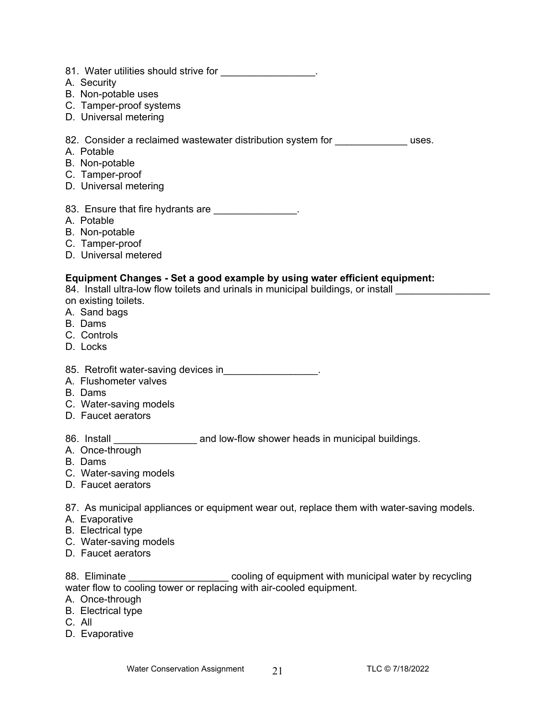- 81. Water utilities should strive for \_\_\_\_\_\_\_\_\_\_\_\_\_\_\_\_\_\_\_\_\_\_\_\_.
- A. Security
- B. Non-potable uses
- C. Tamper-proof systems
- D. Universal metering

82. Consider a reclaimed wastewater distribution system for example as uses.

- A. Potable
- B. Non-potable
- C. Tamper-proof
- D. Universal metering
- 83. Ensure that fire hydrants are **EXALL**
- A. Potable
- B. Non-potable
- C. Tamper-proof
- D. Universal metered

#### **Equipment Changes - Set a good example by using water efficient equipment:**

- 84. Install ultra-low flow toilets and urinals in municipal buildings, or install on existing toilets.
- A. Sand bags
- B. Dams
- C. Controls
- D. Locks
- 85. Retrofit water-saving devices in example and set of the set of the set of the set of the set of the set of the set of the set of the set of the set of the set of the set of the set of the set of the set of the set of t
- A. Flushometer valves
- B. Dams
- C. Water-saving models
- D. Faucet aerators

86. Install **EXECUTE:** and low-flow shower heads in municipal buildings.

- A. Once-through
- B. Dams
- C. Water-saving models
- D. Faucet aerators

87. As municipal appliances or equipment wear out, replace them with water-saving models.

- A. Evaporative
- B. Electrical type
- C. Water-saving models
- D. Faucet aerators

88. Eliminate \_\_\_\_\_\_\_\_\_\_\_\_\_\_\_\_\_\_\_\_\_ cooling of equipment with municipal water by recycling water flow to cooling tower or replacing with air-cooled equipment.

- A. Once-through
- B. Electrical type
- C. All
- D. Evaporative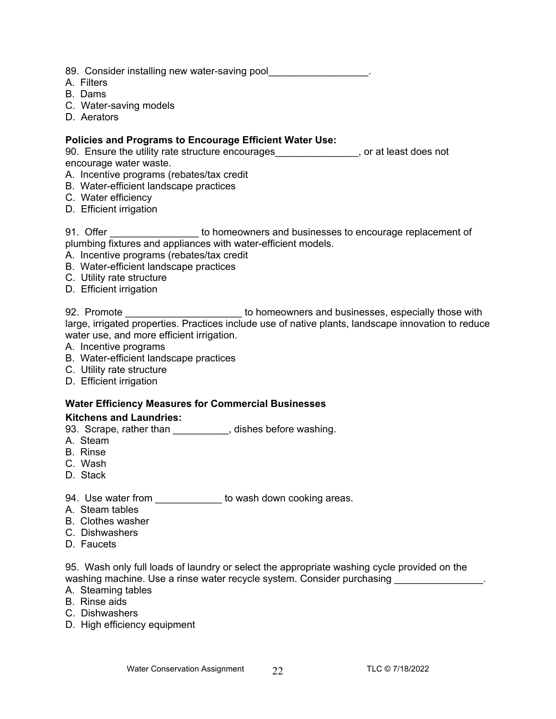89. Consider installing new water-saving pool entitled as a set of the same of the same of the set of the set o

- A. Filters
- B. Dams
- C. Water-saving models
- D. Aerators

#### **Policies and Programs to Encourage Efficient Water Use:**

90. Ensure the utility rate structure encourages encourages, or at least does not encourage water waste.

- A. Incentive programs (rebates/tax credit
- B. Water-efficient landscape practices
- C. Water efficiency
- D. Efficient irrigation

91. Offer \_\_\_\_\_\_\_\_\_\_\_\_\_\_\_\_\_ to homeowners and businesses to encourage replacement of plumbing fixtures and appliances with water-efficient models.

- A. Incentive programs (rebates/tax credit
- B. Water-efficient landscape practices
- C. Utility rate structure
- D. Efficient irrigation

92. Promote \_\_\_\_\_\_\_\_\_\_\_\_\_\_\_\_\_\_\_\_\_\_\_\_\_ to homeowners and businesses, especially those with large, irrigated properties. Practices include use of native plants, landscape innovation to reduce water use, and more efficient irrigation.

- A. Incentive programs
- B. Water-efficient landscape practices
- C. Utility rate structure
- D. Efficient irrigation

#### **Water Efficiency Measures for Commercial Businesses**

#### **Kitchens and Laundries:**

- 93. Scrape, rather than \_\_\_\_\_\_\_\_\_\_, dishes before washing.
- A. Steam
- B. Rinse
- C. Wash
- D. Stack
- 94. Use water from \_\_\_\_\_\_\_\_\_\_\_\_ to wash down cooking areas.
- A. Steam tables
- B. Clothes washer
- C. Dishwashers
- D. Faucets

95. Wash only full loads of laundry or select the appropriate washing cycle provided on the washing machine. Use a rinse water recycle system. Consider purchasing washing washing washing relations.

- A. Steaming tables
- B. Rinse aids
- C. Dishwashers
- D. High efficiency equipment